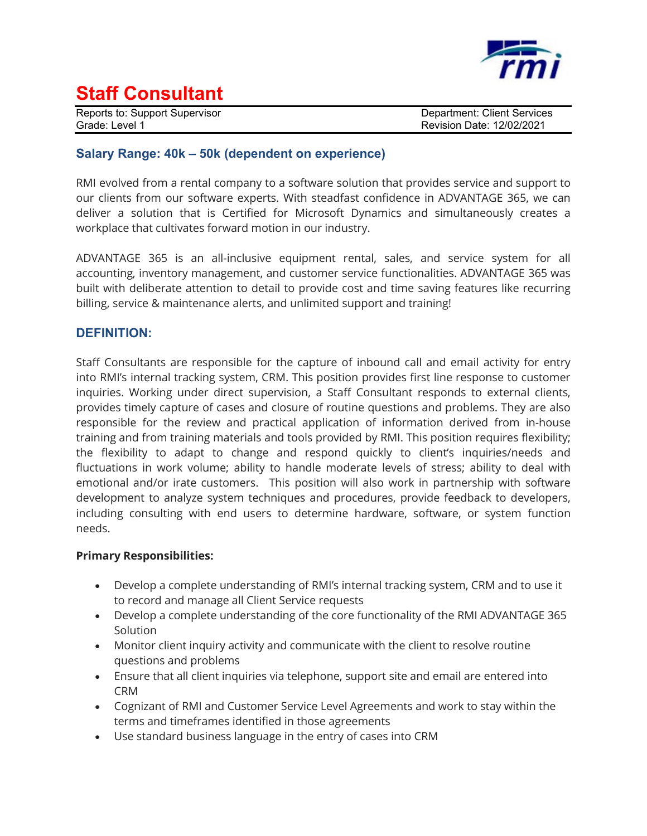

## **Staff Consultant**

Reports to: Support Supervisor **Department: Client Services** Grade: Level 1 **Grade: 12/02/2021** 

### **Salary Range: 40k – 50k (dependent on experience)**

RMI evolved from a rental company to a software solution that provides service and support to our clients from our software experts. With steadfast confidence in ADVANTAGE 365, we can deliver a solution that is Certified for Microsoft Dynamics and simultaneously creates a workplace that cultivates forward motion in our industry.

ADVANTAGE 365 is an all-inclusive equipment rental, sales, and service system for all accounting, inventory management, and customer service functionalities. ADVANTAGE 365 was built with deliberate attention to detail to provide cost and time saving features like recurring billing, service & maintenance alerts, and unlimited support and training!

### **DEFINITION:**

Staff Consultants are responsible for the capture of inbound call and email activity for entry into RMI's internal tracking system, CRM. This position provides first line response to customer inquiries. Working under direct supervision, a Staff Consultant responds to external clients, provides timely capture of cases and closure of routine questions and problems. They are also responsible for the review and practical application of information derived from in-house training and from training materials and tools provided by RMI. This position requires flexibility; the flexibility to adapt to change and respond quickly to client's inquiries/needs and fluctuations in work volume; ability to handle moderate levels of stress; ability to deal with emotional and/or irate customers. This position will also work in partnership with software development to analyze system techniques and procedures, provide feedback to developers, including consulting with end users to determine hardware, software, or system function needs.

#### **Primary Responsibilities:**

- Develop a complete understanding of RMI's internal tracking system, CRM and to use it to record and manage all Client Service requests
- Develop a complete understanding of the core functionality of the RMI ADVANTAGE 365 Solution
- Monitor client inquiry activity and communicate with the client to resolve routine questions and problems
- Ensure that all client inquiries via telephone, support site and email are entered into CRM
- Cognizant of RMI and Customer Service Level Agreements and work to stay within the terms and timeframes identified in those agreements
- Use standard business language in the entry of cases into CRM